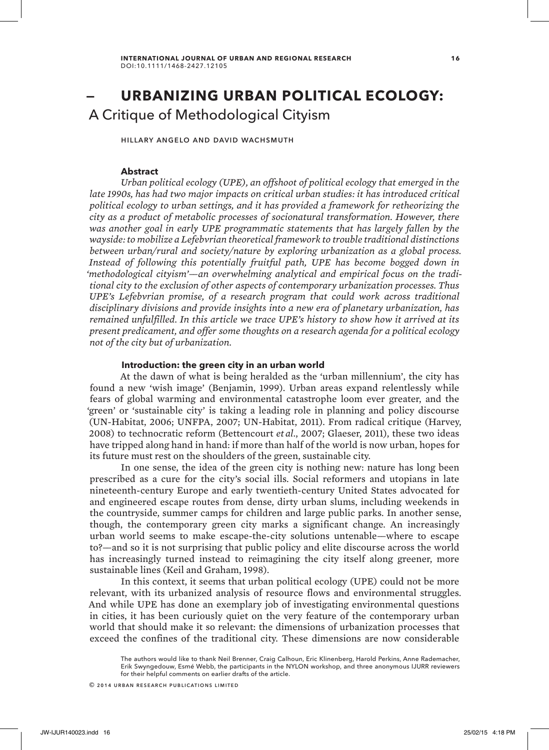# **— URBANIZING URBAN POLITICAL ECOLOGY:** A Critique of Methodological Cityism

hillary angelo and david wachsmuth

# **Abstract**

*Urban political ecology (UPE), an offshoot of political ecology that emerged in the late 1990s, has had two major impacts on critical urban studies: it has introduced critical political ecology to urban settings, and it has provided a framework for retheorizing the city as a product of metabolic processes of socionatural transformation. However, there was another goal in early UPE programmatic statements that has largely fallen by the wayside: to mobilize a Lefebvrian theoretical framework to trouble traditional distinctions between urban/rural and society/nature by exploring urbanization as a global process.*  Instead of following this potentially fruitful path, UPE has become bogged down in *'methodological cityism'*––*an overwhelming analytical and empirical focus on the traditional city to the exclusion of other aspects of contemporary urbanization processes. Thus UPE's Lefebvrian promise, of a research program that could work across traditional disciplinary divisions and provide insights into a new era of planetary urbanization, has remained unfulfilled. In this article we trace UPE's history to show how it arrived at its present predicament, and offer some thoughts on a research agenda for a political ecology not of the city but of urbanization.*

# **Introduction: the green city in an urban world**

At the dawn of what is being heralded as the 'urban millennium', the city has found a new 'wish image' (Benjamin, 1999). Urban areas expand relentlessly while fears of global warming and environmental catastrophe loom ever greater, and the 'green' or 'sustainable city' is taking a leading role in planning and policy discourse (UN-Habitat, 2006; UNFPA, 2007; UN-Habitat, 2011). From radical critique (Harvey, 2008) to technocratic reform (Bettencourt *et al*., 2007; Glaeser, 2011), these two ideas have tripped along hand in hand: if more than half of the world is now urban, hopes for its future must rest on the shoulders of the green, sustainable city.

In one sense, the idea of the green city is nothing new: nature has long been prescribed as a cure for the city's social ills. Social reformers and utopians in late nineteenth-century Europe and early twentieth-century United States advocated for and engineered escape routes from dense, dirty urban slums, including weekends in the countryside, summer camps for children and large public parks. In another sense, though, the contemporary green city marks a significant change. An increasingly urban world seems to make escape-the-city solutions untenable––where to escape to?––and so it is not surprising that public policy and elite discourse across the world has increasingly turned instead to reimagining the city itself along greener, more sustainable lines (Keil and Graham, 1998).

In this context, it seems that urban political ecology (UPE) could not be more relevant, with its urbanized analysis of resource flows and environmental struggles. And while UPE has done an exemplary job of investigating environmental questions in cities, it has been curiously quiet on the very feature of the contemporary urban world that should make it so relevant: the dimensions of urbanization processes that exceed the confines of the traditional city. These dimensions are now considerable

The authors would like to thank Neil Brenner, Craig Calhoun, Eric Klinenberg, Harold Perkins, Anne Rademacher, Erik Swyngedouw, Esmé Webb, the participants in the NYLON workshop, and three anonymous IJURR reviewers for their helpful comments on earlier drafts of the article.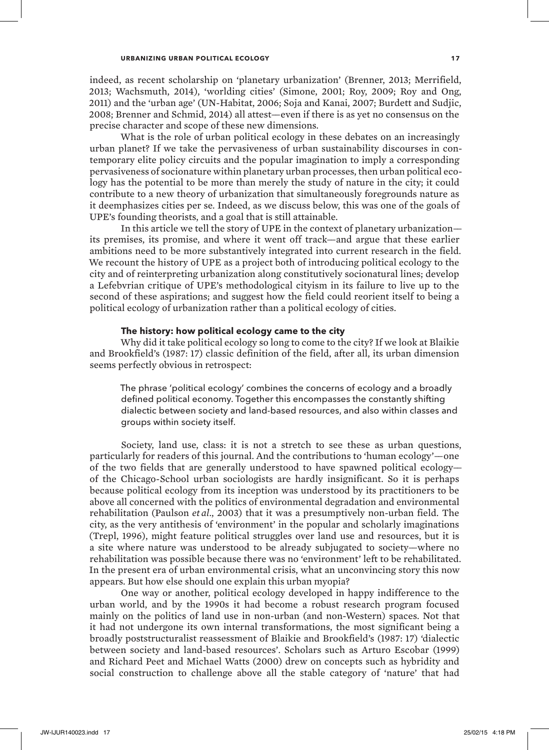indeed, as recent scholarship on 'planetary urbanization' (Brenner, 2013; Merrifield, 2013; Wachsmuth, 2014), 'worlding cities' (Simone, 2001; Roy, 2009; Roy and Ong, 2011) and the 'urban age' (UN-Habitat, 2006; Soja and Kanai, 2007; Burdett and Sudjic, 2008; Brenner and Schmid, 2014) all attest––even if there is as yet no consensus on the precise character and scope of these new dimensions.

What is the role of urban political ecology in these debates on an increasingly urban planet? If we take the pervasiveness of urban sustainability discourses in contemporary elite policy circuits and the popular imagination to imply a corresponding pervasiveness of socionature within planetary urban processes, then urban political ecology has the potential to be more than merely the study of nature in the city; it could contribute to a new theory of urbanization that simultaneously foregrounds nature as it deemphasizes cities per se. Indeed, as we discuss below, this was one of the goals of UPE's founding theorists, and a goal that is still attainable.

In this article we tell the story of UPE in the context of planetary urbanization–– its premises, its promise, and where it went off track––and argue that these earlier ambitions need to be more substantively integrated into current research in the field. We recount the history of UPE as a project both of introducing political ecology to the city and of reinterpreting urbanization along constitutively socionatural lines; develop a Lefebvrian critique of UPE's methodological cityism in its failure to live up to the second of these aspirations; and suggest how the field could reorient itself to being a political ecology of urbanization rather than a political ecology of cities.

# **The history: how political ecology came to the city**

Why did it take political ecology so long to come to the city? If we look at Blaikie and Brookfield's (1987: 17) classic definition of the field, after all, its urban dimension seems perfectly obvious in retrospect:

The phrase 'political ecology' combines the concerns of ecology and a broadly defined political economy. Together this encompasses the constantly shifting dialectic between society and land-based resources, and also within classes and groups within society itself.

Society, land use, class: it is not a stretch to see these as urban questions, particularly for readers of this journal. And the contributions to 'human ecology'––one of the two fields that are generally understood to have spawned political ecology–– of the Chicago-School urban sociologists are hardly insignificant. So it is perhaps because political ecology from its inception was understood by its practitioners to be above all concerned with the politics of environmental degradation and environmental rehabilitation (Paulson *et al*., 2003) that it was a presumptively non-urban field. The city, as the very antithesis of 'environment' in the popular and scholarly imaginations (Trepl, 1996), might feature political struggles over land use and resources, but it is a site where nature was understood to be already subjugated to society––where no rehabilitation was possible because there was no 'environment' left to be rehabilitated. In the present era of urban environmental crisis, what an unconvincing story this now appears. But how else should one explain this urban myopia?

One way or another, political ecology developed in happy indifference to the urban world, and by the 1990s it had become a robust research program focused mainly on the politics of land use in non-urban (and non-Western) spaces. Not that it had not undergone its own internal transformations, the most significant being a broadly poststructuralist reassessment of Blaikie and Brookfield's (1987: 17) 'dialectic between society and land-based resources'. Scholars such as Arturo Escobar (1999) and Richard Peet and Michael Watts (2000) drew on concepts such as hybridity and social construction to challenge above all the stable category of 'nature' that had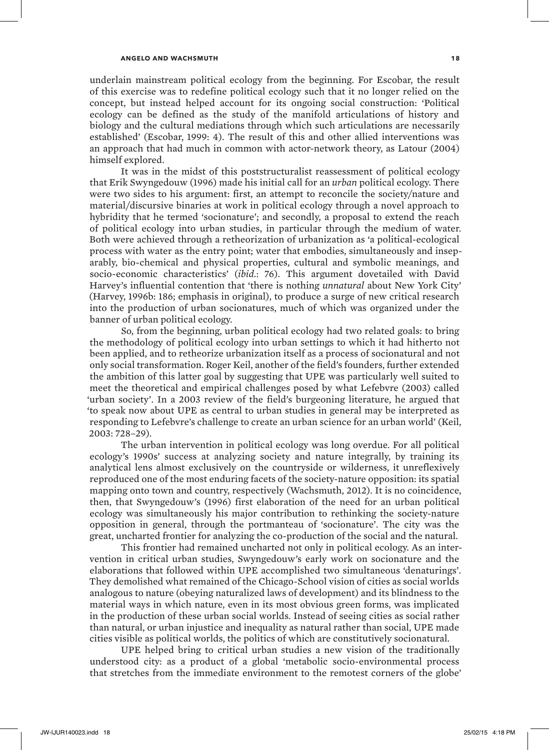underlain mainstream political ecology from the beginning. For Escobar, the result of this exercise was to redefine political ecology such that it no longer relied on the concept, but instead helped account for its ongoing social construction: 'Political ecology can be defined as the study of the manifold articulations of history and biology and the cultural mediations through which such articulations are necessarily established' (Escobar, 1999: 4). The result of this and other allied interventions was an approach that had much in common with actor-network theory, as Latour (2004) himself explored.

It was in the midst of this poststructuralist reassessment of political ecology that Erik Swyngedouw (1996) made his initial call for an *urban* political ecology. There were two sides to his argument: first, an attempt to reconcile the society/nature and material/discursive binaries at work in political ecology through a novel approach to hybridity that he termed 'socionature'; and secondly, a proposal to extend the reach of political ecology into urban studies, in particular through the medium of water. Both were achieved through a retheorization of urbanization as 'a political-ecological process with water as the entry point; water that embodies, simultaneously and inseparably, bio-chemical and physical properties, cultural and symbolic meanings, and socio-economic characteristics' (*ibid.*: 76). This argument dovetailed with David Harvey's influential contention that 'there is nothing *unnatural* about New York City' (Harvey, 1996b: 186; emphasis in original), to produce a surge of new critical research into the production of urban socionatures, much of which was organized under the banner of urban political ecology.

So, from the beginning, urban political ecology had two related goals: to bring the methodology of political ecology into urban settings to which it had hitherto not been applied, and to retheorize urbanization itself as a process of socionatural and not only social transformation. Roger Keil, another of the field's founders, further extended the ambition of this latter goal by suggesting that UPE was particularly well suited to meet the theoretical and empirical challenges posed by what Lefebvre (2003) called 'urban society'. In a 2003 review of the field's burgeoning literature, he argued that 'to speak now about UPE as central to urban studies in general may be interpreted as responding to Lefebvre's challenge to create an urban science for an urban world' (Keil, 2003: 728–29).

The urban intervention in political ecology was long overdue. For all political ecology's 1990s' success at analyzing society and nature integrally, by training its analytical lens almost exclusively on the countryside or wilderness, it unreflexively reproduced one of the most enduring facets of the society-nature opposition: its spatial mapping onto town and country, respectively (Wachsmuth, 2012). It is no coincidence, then, that Swyngedouw's (1996) first elaboration of the need for an urban political ecology was simultaneously his major contribution to rethinking the society-nature opposition in general, through the portmanteau of 'socionature'. The city was the great, uncharted frontier for analyzing the co-production of the social and the natural.

This frontier had remained uncharted not only in political ecology. As an intervention in critical urban studies, Swyngedouw's early work on socionature and the elaborations that followed within UPE accomplished two simultaneous 'denaturings'. They demolished what remained of the Chicago-School vision of cities as social worlds analogous to nature (obeying naturalized laws of development) and its blindness to the material ways in which nature, even in its most obvious green forms, was implicated in the production of these urban social worlds. Instead of seeing cities as social rather than natural, or urban injustice and inequality as natural rather than social, UPE made cities visible as political worlds, the politics of which are constitutively socionatural.

UPE helped bring to critical urban studies a new vision of the traditionally understood city: as a product of a global 'metabolic socio-environmental process that stretches from the immediate environment to the remotest corners of the globe'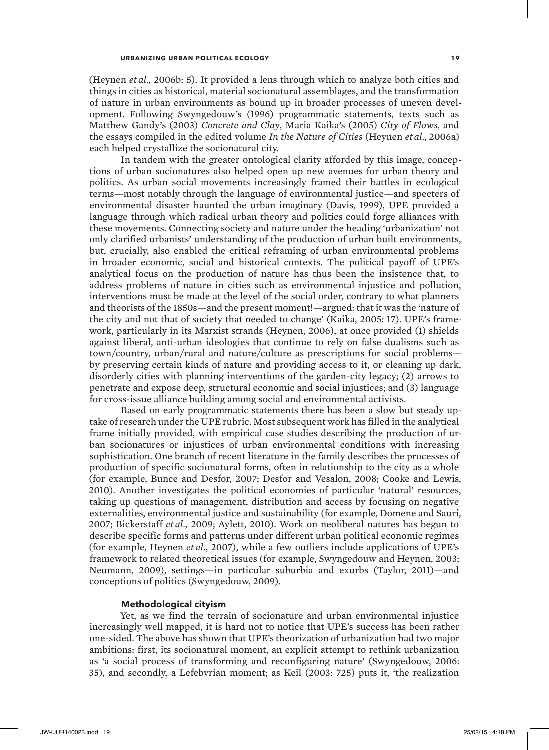(Heynen *et al*., 2006b: 5). It provided a lens through which to analyze both cities and things in cities as historical, material socionatural assemblages, and the transformation of nature in urban environments as bound up in broader processes of uneven development. Following Swyngedouw's (1996) programmatic statements, texts such as Matthew Gandy's (2003) *Concrete and Clay*, Maria Kaika's (2005) *City of Flows*, and the essays compiled in the edited volume *In the Nature of Cities* (Heynen *et al*., 2006a) each helped crystallize the socionatural city.

In tandem with the greater ontological clarity afforded by this image, conceptions of urban socionatures also helped open up new avenues for urban theory and politics. As urban social movements increasingly framed their battles in ecological terms––most notably through the language of environmental justice––and specters of environmental disaster haunted the urban imaginary (Davis, 1999), UPE provided a language through which radical urban theory and politics could forge alliances with these movements. Connecting society and nature under the heading 'urbanization' not only clarified urbanists' understanding of the production of urban built environments, but, crucially, also enabled the critical reframing of urban environmental problems in broader economic, social and historical contexts. The political payoff of UPE's analytical focus on the production of nature has thus been the insistence that, to address problems of nature in cities such as environmental injustice and pollution, interventions must be made at the level of the social order, contrary to what planners and theorists of the 1850s––and the present moment!––argued: that it was the 'nature of the city and not that of society that needed to change' (Kaika, 2005: 17). UPE's framework, particularly in its Marxist strands (Heynen, 2006), at once provided (1) shields against liberal, anti-urban ideologies that continue to rely on false dualisms such as town/country, urban/rural and nature/culture as prescriptions for social problems–– by preserving certain kinds of nature and providing access to it, or cleaning up dark, disorderly cities with planning interventions of the garden-city legacy; (2) arrows to penetrate and expose deep, structural economic and social injustices; and (3) language for cross-issue alliance building among social and environmental activists.

Based on early programmatic statements there has been a slow but steady uptake of research under the UPE rubric. Most subsequent work has filled in the analytical frame initially provided, with empirical case studies describing the production of urban socionatures or injustices of urban environmental conditions with increasing sophistication. One branch of recent literature in the family describes the processes of production of specific socionatural forms, often in relationship to the city as a whole (for example, Bunce and Desfor, 2007; Desfor and Vesalon, 2008; Cooke and Lewis, 2010). Another investigates the political economies of particular 'natural' resources, taking up questions of management, distribution and access by focusing on negative externalities, environmental justice and sustainability (for example, Domene and Saurí, 2007; Bickerstaff *et al*., 2009; Aylett, 2010). Work on neoliberal natures has begun to describe specific forms and patterns under different urban political economic regimes (for example, Heynen *et al*., 2007), while a few outliers include applications of UPE's framework to related theoretical issues (for example, Swyngedouw and Heynen, 2003; Neumann, 2009), settings––in particular suburbia and exurbs (Taylor, 2011)––and conceptions of politics (Swyngedouw, 2009).

## **Methodological cityism**

Yet, as we find the terrain of socionature and urban environmental injustice increasingly well mapped, it is hard not to notice that UPE's success has been rather one-sided. The above has shown that UPE's theorization of urbanization had two major ambitions: first, its socionatural moment, an explicit attempt to rethink urbanization as 'a social process of transforming and reconfiguring nature' (Swyngedouw, 2006: 35), and secondly, a Lefebvrian moment; as Keil (2003: 725) puts it, 'the realization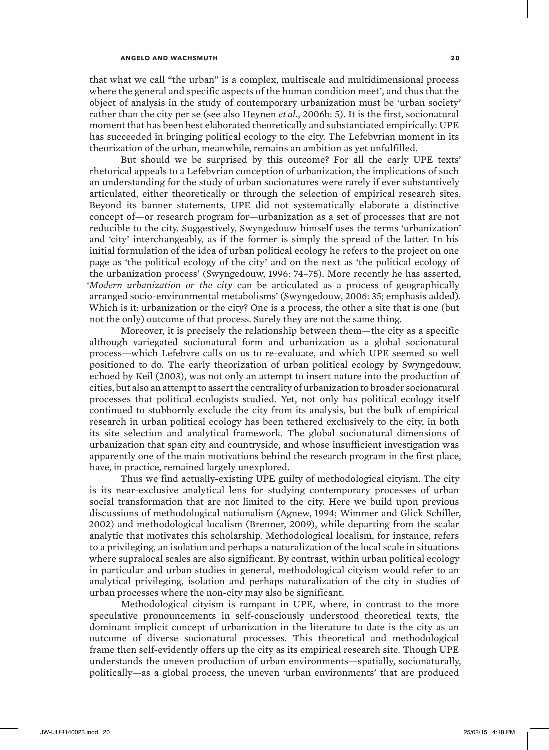that what we call "the urban" is a complex, multiscale and multidimensional process where the general and specific aspects of the human condition meet', and thus that the object of analysis in the study of contemporary urbanization must be 'urban society' rather than the city per se (see also Heynen *et al*., 2006b: 5). It is the first, socionatural moment that has been best elaborated theoretically and substantiated empirically: UPE has succeeded in bringing political ecology to the city. The Lefebvrian moment in its theorization of the urban, meanwhile, remains an ambition as yet unfulfilled.

But should we be surprised by this outcome? For all the early UPE texts' rhetorical appeals to a Lefebvrian conception of urbanization, the implications of such an understanding for the study of urban socionatures were rarely if ever substantively articulated, either theoretically or through the selection of empirical research sites. Beyond its banner statements, UPE did not systematically elaborate a distinctive concept of––or research program for––urbanization as a set of processes that are not reducible to the city. Suggestively, Swyngedouw himself uses the terms 'urbanization' and 'city' interchangeably, as if the former is simply the spread of the latter. In his initial formulation of the idea of urban political ecology he refers to the project on one page as 'the political ecology of the city' and on the next as 'the political ecology of the urbanization process' (Swyngedouw, 1996: 74–75). More recently he has asserted, '*Modern urbanization or the city* can be articulated as a process of geographically arranged socio-environmental metabolisms' (Swyngedouw, 2006: 35; emphasis added). Which is it: urbanization or the city? One is a process, the other a site that is one (but not the only) outcome of that process. Surely they are not the same thing.

Moreover, it is precisely the relationship between them––the city as a specific although variegated socionatural form and urbanization as a global socionatural process––which Lefebvre calls on us to re-evaluate, and which UPE seemed so well positioned to do. The early theorization of urban political ecology by Swyngedouw, echoed by Keil (2003), was not only an attempt to insert nature into the production of cities, but also an attempt to assert the centrality of urbanization to broader socionatural processes that political ecologists studied. Yet, not only has political ecology itself continued to stubbornly exclude the city from its analysis, but the bulk of empirical research in urban political ecology has been tethered exclusively to the city, in both its site selection and analytical framework. The global socionatural dimensions of urbanization that span city and countryside, and whose insufficient investigation was apparently one of the main motivations behind the research program in the first place, have, in practice, remained largely unexplored.

Thus we find actually-existing UPE guilty of methodological cityism. The city is its near-exclusive analytical lens for studying contemporary processes of urban social transformation that are not limited to the city. Here we build upon previous discussions of methodological nationalism (Agnew, 1994; Wimmer and Glick Schiller, 2002) and methodological localism (Brenner, 2009), while departing from the scalar analytic that motivates this scholarship. Methodological localism, for instance, refers to a privileging, an isolation and perhaps a naturalization of the local scale in situations where supralocal scales are also significant. By contrast, within urban political ecology in particular and urban studies in general, methodological cityism would refer to an analytical privileging, isolation and perhaps naturalization of the city in studies of urban processes where the non-city may also be significant.

Methodological cityism is rampant in UPE, where, in contrast to the more speculative pronouncements in self-consciously understood theoretical texts, the dominant implicit concept of urbanization in the literature to date is the city as an outcome of diverse socionatural processes. This theoretical and methodological frame then self-evidently offers up the city as its empirical research site. Though UPE understands the uneven production of urban environments––spatially, socionaturally, politically––as a global process, the uneven 'urban environments' that are produced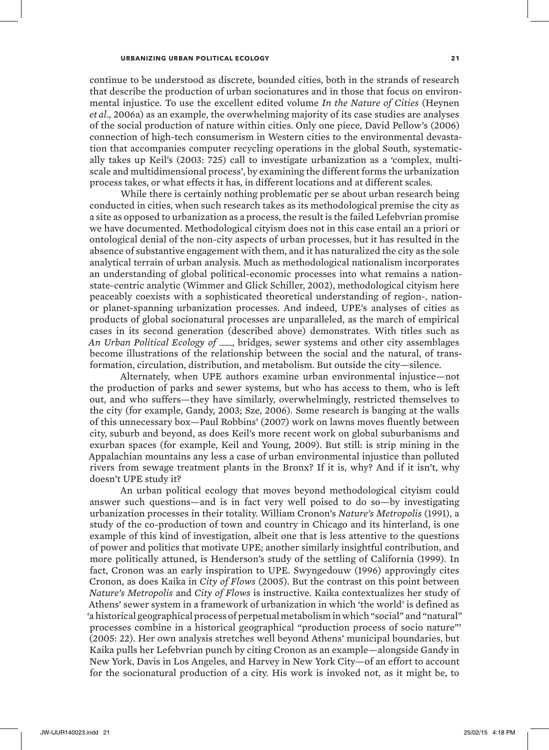continue to be understood as discrete, bounded cities, both in the strands of research that describe the production of urban socionatures and in those that focus on environmental injustice. To use the excellent edited volume *In the Nature of Cities* (Heynen *et al*., 2006a) as an example, the overwhelming majority of its case studies are analyses of the social production of nature within cities. Only one piece, David Pellow's (2006) connection of high-tech consumerism in Western cities to the environmental devastation that accompanies computer recycling operations in the global South, systematically takes up Keil's (2003: 725) call to investigate urbanization as a 'complex, multiscale and multidimensional process', by examining the different forms the urbanization process takes, or what effects it has, in different locations and at different scales.

While there is certainly nothing problematic per se about urban research being conducted in cities, when such research takes as its methodological premise the city as a site as opposed to urbanization as a process, the result is the failed Lefebvrian promise we have documented. Methodological cityism does not in this case entail an a priori or ontological denial of the non-city aspects of urban processes, but it has resulted in the absence of substantive engagement with them, and it has naturalized the city as the sole analytical terrain of urban analysis. Much as methodological nationalism incorporates an understanding of global political-economic processes into what remains a nationstate-centric analytic (Wimmer and Glick Schiller, 2002), methodological cityism here peaceably coexists with a sophisticated theoretical understanding of region-, nationor planet-spanning urbanization processes. And indeed, UPE's analyses of cities as products of global socionatural processes are unparalleled, as the march of empirical cases in its second generation (described above) demonstrates. With titles such as *An Urban Political Ecology of* \_\_\_, bridges, sewer systems and other city assemblages become illustrations of the relationship between the social and the natural, of transformation, circulation, distribution, and metabolism. But outside the city––silence.

Alternately, when UPE authors examine urban environmental injustice––not the production of parks and sewer systems, but who has access to them, who is left out, and who suffers––they have similarly, overwhelmingly, restricted themselves to the city (for example, Gandy, 2003; Sze, 2006). Some research is banging at the walls of this unnecessary box––Paul Robbins' (2007) work on lawns moves fluently between city, suburb and beyond, as does Keil's more recent work on global suburbanisms and exurban spaces (for example, Keil and Young, 2009). But still: is strip mining in the Appalachian mountains any less a case of urban environmental injustice than polluted rivers from sewage treatment plants in the Bronx? If it is, why? And if it isn't, why doesn't UPE study it?

An urban political ecology that moves beyond methodological cityism could answer such questions––and is in fact very well poised to do so––by investigating urbanization processes in their totality. William Cronon's *Nature's Metropolis* (1991), a study of the co-production of town and country in Chicago and its hinterland, is one example of this kind of investigation, albeit one that is less attentive to the questions of power and politics that motivate UPE; another similarly insightful contribution, and more politically attuned, is Henderson's study of the settling of California (1999). In fact, Cronon was an early inspiration to UPE. Swyngedouw (1996) approvingly cites Cronon, as does Kaika in *City of Flows* (2005). But the contrast on this point between *Nature's Metropolis* and *City of Flows* is instructive. Kaika contextualizes her study of Athens' sewer system in a framework of urbanization in which 'the world' is defined as 'a historical geographical process of perpetual metabolism in which "social" and "natural" processes combine in a historical geographical "production process of socio nature"' (2005: 22). Her own analysis stretches well beyond Athens' municipal boundaries, but Kaika pulls her Lefebvrian punch by citing Cronon as an example––alongside Gandy in New York, Davis in Los Angeles, and Harvey in New York City––of an effort to account for the socionatural production of a city. His work is invoked not, as it might be, to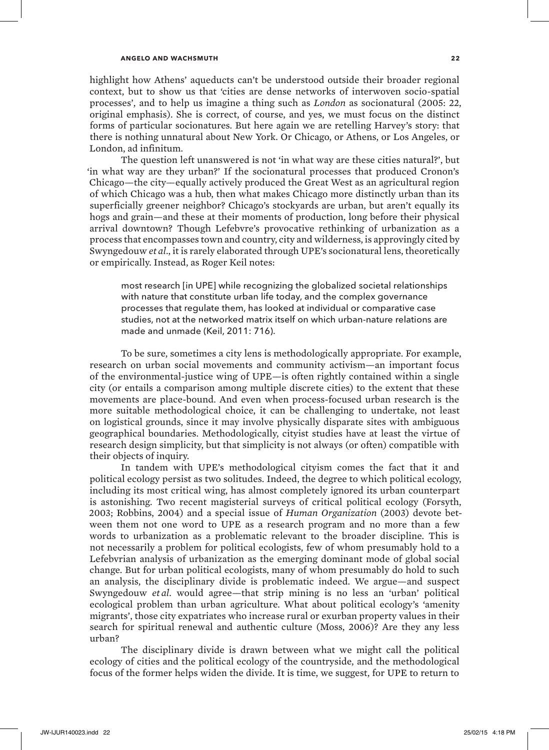highlight how Athens' aqueducts can't be understood outside their broader regional context, but to show us that 'cities are dense networks of interwoven socio-spatial processes', and to help us imagine a thing such as *London* as socionatural (2005: 22, original emphasis). She is correct, of course, and yes, we must focus on the distinct forms of particular socionatures. But here again we are retelling Harvey's story: that there is nothing unnatural about New York. Or Chicago, or Athens, or Los Angeles, or London, ad infinitum.

The question left unanswered is not 'in what way are these cities natural?', but 'in what way are they urban?' If the socionatural processes that produced Cronon's Chicago––the city––equally actively produced the Great West as an agricultural region of which Chicago was a hub, then what makes Chicago more distinctly urban than its superficially greener neighbor? Chicago's stockyards are urban, but aren't equally its hogs and grain––and these at their moments of production, long before their physical arrival downtown? Though Lefebvre's provocative rethinking of urbanization as a process that encompasses town and country, city and wilderness, is approvingly cited by Swyngedouw *et al*., it is rarely elaborated through UPE's socionatural lens, theoretically or empirically. Instead, as Roger Keil notes:

most research [in UPE] while recognizing the globalized societal relationships with nature that constitute urban life today, and the complex governance processes that regulate them, has looked at individual or comparative case studies, not at the networked matrix itself on which urban-nature relations are made and unmade (Keil, 2011: 716).

To be sure, sometimes a city lens is methodologically appropriate. For example, research on urban social movements and community activism––an important focus of the environmental-justice wing of UPE––is often rightly contained within a single city (or entails a comparison among multiple discrete cities) to the extent that these movements are place-bound. And even when process-focused urban research is the more suitable methodological choice, it can be challenging to undertake, not least on logistical grounds, since it may involve physically disparate sites with ambiguous geographical boundaries. Methodologically, cityist studies have at least the virtue of research design simplicity, but that simplicity is not always (or often) compatible with their objects of inquiry.

In tandem with UPE's methodological cityism comes the fact that it and political ecology persist as two solitudes. Indeed, the degree to which political ecology, including its most critical wing, has almost completely ignored its urban counterpart is astonishing. Two recent magisterial surveys of critical political ecology (Forsyth, 2003; Robbins, 2004) and a special issue of *Human Organization* (2003) devote between them not one word to UPE as a research program and no more than a few words to urbanization as a problematic relevant to the broader discipline. This is not necessarily a problem for political ecologists, few of whom presumably hold to a Lefebvrian analysis of urbanization as the emerging dominant mode of global social change. But for urban political ecologists, many of whom presumably do hold to such an analysis, the disciplinary divide is problematic indeed. We argue––and suspect Swyngedouw *etal*. would agree—that strip mining is no less an 'urban' political ecological problem than urban agriculture. What about political ecology's 'amenity migrants', those city expatriates who increase rural or exurban property values in their search for spiritual renewal and authentic culture (Moss, 2006)? Are they any less urban?

The disciplinary divide is drawn between what we might call the political ecology of cities and the political ecology of the countryside, and the methodological focus of the former helps widen the divide. It is time, we suggest, for UPE to return to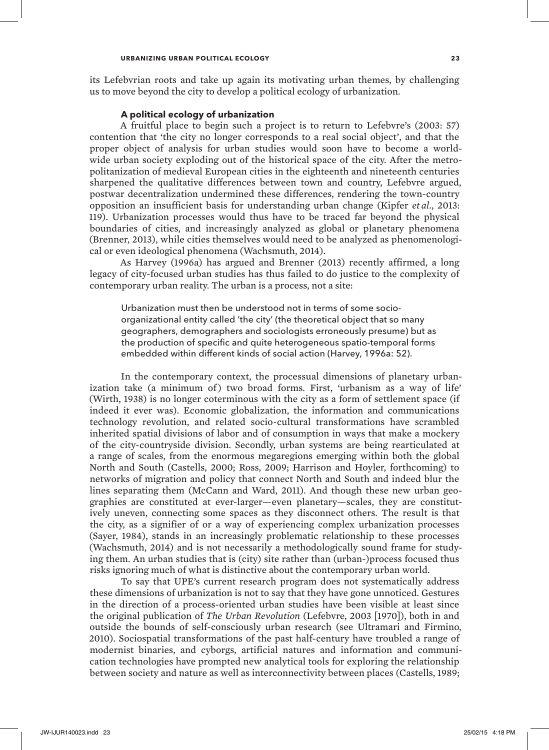its Lefebvrian roots and take up again its motivating urban themes, by challenging us to move beyond the city to develop a political ecology of urbanization.

## **A political ecology of urbanization**

A fruitful place to begin such a project is to return to Lefebvre's (2003: 57) contention that 'the city no longer corresponds to a real social object', and that the proper object of analysis for urban studies would soon have to become a worldwide urban society exploding out of the historical space of the city. After the metropolitanization of medieval European cities in the eighteenth and nineteenth centuries sharpened the qualitative differences between town and country, Lefebvre argued, postwar decentralization undermined these differences, rendering the town-country opposition an insufficient basis for understanding urban change (Kipfer *et al*., 2013: 119). Urbanization processes would thus have to be traced far beyond the physical boundaries of cities, and increasingly analyzed as global or planetary phenomena (Brenner, 2013), while cities themselves would need to be analyzed as phenomenological or even ideological phenomena (Wachsmuth, 2014).

As Harvey (1996a) has argued and Brenner (2013) recently affirmed, a long legacy of city-focused urban studies has thus failed to do justice to the complexity of contemporary urban reality. The urban is a process, not a site:

Urbanization must then be understood not in terms of some socioorganizational entity called 'the city' (the theoretical object that so many geographers, demographers and sociologists erroneously presume) but as the production of specific and quite heterogeneous spatio-temporal forms embedded within different kinds of social action (Harvey, 1996a: 52).

In the contemporary context, the processual dimensions of planetary urbanization take (a minimum of) two broad forms. First, 'urbanism as a way of life' (Wirth, 1938) is no longer coterminous with the city as a form of settlement space (if indeed it ever was). Economic globalization, the information and communications technology revolution, and related socio-cultural transformations have scrambled inherited spatial divisions of labor and of consumption in ways that make a mockery of the city-countryside division. Secondly, urban systems are being rearticulated at a range of scales, from the enormous megaregions emerging within both the global North and South (Castells, 2000; Ross, 2009; Harrison and Hoyler, forthcoming) to networks of migration and policy that connect North and South and indeed blur the lines separating them (McCann and Ward, 2011). And though these new urban geographies are constituted at ever-larger––even planetary––scales, they are constitutively uneven, connecting some spaces as they disconnect others. The result is that the city, as a signifier of or a way of experiencing complex urbanization processes (Sayer, 1984), stands in an increasingly problematic relationship to these processes (Wachsmuth, 2014) and is not necessarily a methodologically sound frame for studying them. An urban studies that is (city) site rather than (urban-)process focused thus risks ignoring much of what is distinctive about the contemporary urban world.

To say that UPE's current research program does not systematically address these dimensions of urbanization is not to say that they have gone unnoticed. Gestures in the direction of a process-oriented urban studies have been visible at least since the original publication of *The Urban Revolution* (Lefebvre, 2003 [1970]), both in and outside the bounds of self-consciously urban research (see Ultramari and Firmino, 2010). Sociospatial transformations of the past half-century have troubled a range of modernist binaries, and cyborgs, artificial natures and information and communication technologies have prompted new analytical tools for exploring the relationship between society and nature as well as interconnectivity between places (Castells, 1989;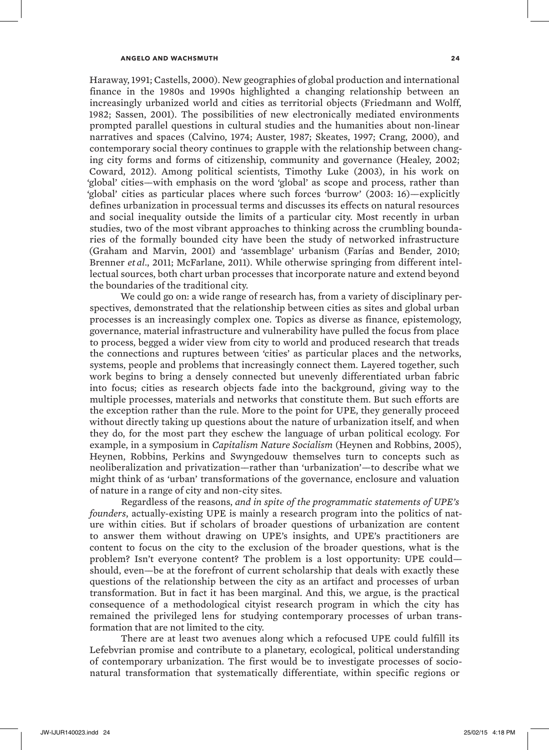Haraway, 1991; Castells, 2000). New geographies of global production and international finance in the 1980s and 1990s highlighted a changing relationship between an increasingly urbanized world and cities as territorial objects (Friedmann and Wolff, 1982; Sassen, 2001). The possibilities of new electronically mediated environments prompted parallel questions in cultural studies and the humanities about non-linear narratives and spaces (Calvino, 1974; Auster, 1987; Skeates, 1997; Crang, 2000), and contemporary social theory continues to grapple with the relationship between changing city forms and forms of citizenship, community and governance (Healey, 2002; Coward, 2012). Among political scientists, Timothy Luke (2003), in his work on 'global' cities––with emphasis on the word 'global' as scope and process, rather than 'global' cities as particular places where such forces 'burrow' (2003: 16)––explicitly defines urbanization in processual terms and discusses its effects on natural resources and social inequality outside the limits of a particular city. Most recently in urban studies, two of the most vibrant approaches to thinking across the crumbling boundaries of the formally bounded city have been the study of networked infrastructure (Graham and Marvin, 2001) and 'assemblage' urbanism (Farías and Bender, 2010; Brenner *et al*., 2011; McFarlane, 2011). While otherwise springing from different intellectual sources, both chart urban processes that incorporate nature and extend beyond the boundaries of the traditional city.

We could go on: a wide range of research has, from a variety of disciplinary perspectives, demonstrated that the relationship between cities as sites and global urban processes is an increasingly complex one. Topics as diverse as finance, epistemology, governance, material infrastructure and vulnerability have pulled the focus from place to process, begged a wider view from city to world and produced research that treads the connections and ruptures between 'cities' as particular places and the networks, systems, people and problems that increasingly connect them. Layered together, such work begins to bring a densely connected but unevenly differentiated urban fabric into focus; cities as research objects fade into the background, giving way to the multiple processes, materials and networks that constitute them. But such efforts are the exception rather than the rule. More to the point for UPE, they generally proceed without directly taking up questions about the nature of urbanization itself, and when they do, for the most part they eschew the language of urban political ecology. For example, in a symposium in *Capitalism Nature Socialism* (Heynen and Robbins, 2005), Heynen, Robbins, Perkins and Swyngedouw themselves turn to concepts such as neoliberalization and privatization––rather than 'urbanization'––to describe what we might think of as 'urban' transformations of the governance, enclosure and valuation of nature in a range of city and non-city sites.

Regardless of the reasons, *and in spite of the programmatic statements of UPE's founders*, actually-existing UPE is mainly a research program into the politics of nature within cities. But if scholars of broader questions of urbanization are content to answer them without drawing on UPE's insights, and UPE's practitioners are content to focus on the city to the exclusion of the broader questions, what is the problem? Isn't everyone content? The problem is a lost opportunity: UPE could–– should, even––be at the forefront of current scholarship that deals with exactly these questions of the relationship between the city as an artifact and processes of urban transformation. But in fact it has been marginal. And this, we argue, is the practical consequence of a methodological cityist research program in which the city has remained the privileged lens for studying contemporary processes of urban transformation that are not limited to the city.

There are at least two avenues along which a refocused UPE could fulfill its Lefebvrian promise and contribute to a planetary, ecological, political understanding of contemporary urbanization. The first would be to investigate processes of socionatural transformation that systematically differentiate, within specific regions or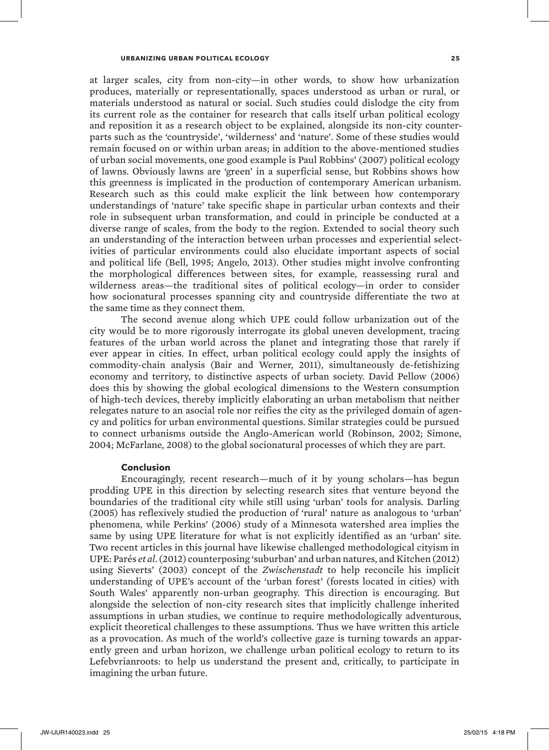at larger scales, city from non-city––in other words, to show how urbanization produces, materially or representationally, spaces understood as urban or rural, or materials understood as natural or social. Such studies could dislodge the city from its current role as the container for research that calls itself urban political ecology and reposition it as a research object to be explained, alongside its non-city counterparts such as the 'countryside', 'wilderness' and 'nature'. Some of these studies would remain focused on or within urban areas; in addition to the above-mentioned studies of urban social movements, one good example is Paul Robbins' (2007) political ecology of lawns. Obviously lawns are 'green' in a superficial sense, but Robbins shows how this greenness is implicated in the production of contemporary American urbanism. Research such as this could make explicit the link between how contemporary understandings of 'nature' take specific shape in particular urban contexts and their role in subsequent urban transformation, and could in principle be conducted at a diverse range of scales, from the body to the region. Extended to social theory such an understanding of the interaction between urban processes and experiential selectivities of particular environments could also elucidate important aspects of social and political life (Bell, 1995; Angelo, 2013). Other studies might involve confronting the morphological differences between sites, for example, reassessing rural and wilderness areas––the traditional sites of political ecology––in order to consider how socionatural processes spanning city and countryside differentiate the two at the same time as they connect them.

The second avenue along which UPE could follow urbanization out of the city would be to more rigorously interrogate its global uneven development, tracing features of the urban world across the planet and integrating those that rarely if ever appear in cities. In effect, urban political ecology could apply the insights of commodity-chain analysis (Bair and Werner, 2011), simultaneously de-fetishizing economy and territory, to distinctive aspects of urban society. David Pellow (2006) does this by showing the global ecological dimensions to the Western consumption of high-tech devices, thereby implicitly elaborating an urban metabolism that neither relegates nature to an asocial role nor reifies the city as the privileged domain of agency and politics for urban environmental questions. Similar strategies could be pursued to connect urbanisms outside the Anglo-American world (Robinson, 2002; Simone, 2004; McFarlane, 2008) to the global socionatural processes of which they are part.

# **Conclusion**

Encouragingly, recent research––much of it by young scholars––has begun prodding UPE in this direction by selecting research sites that venture beyond the boundaries of the traditional city while still using 'urban' tools for analysis. Darling (2005) has reflexively studied the production of 'rural' nature as analogous to 'urban' phenomena, while Perkins' (2006) study of a Minnesota watershed area implies the same by using UPE literature for what is not explicitly identified as an 'urban' site. Two recent articles in this journal have likewise challenged methodological cityism in UPE: Parés *et al*. (2012) counterposing 'suburban' and urban natures, and Kitchen (2012) using Sieverts' (2003) concept of the *Zwischenstadt* to help reconcile his implicit understanding of UPE's account of the 'urban forest' (forests located in cities) with South Wales' apparently non-urban geography. This direction is encouraging. But alongside the selection of non-city research sites that implicitly challenge inherited assumptions in urban studies, we continue to require methodologically adventurous, explicit theoretical challenges to these assumptions. Thus we have written this article as a provocation. As much of the world's collective gaze is turning towards an apparently green and urban horizon, we challenge urban political ecology to return to its Lefebvrianroots: to help us understand the present and, critically, to participate in imagining the urban future.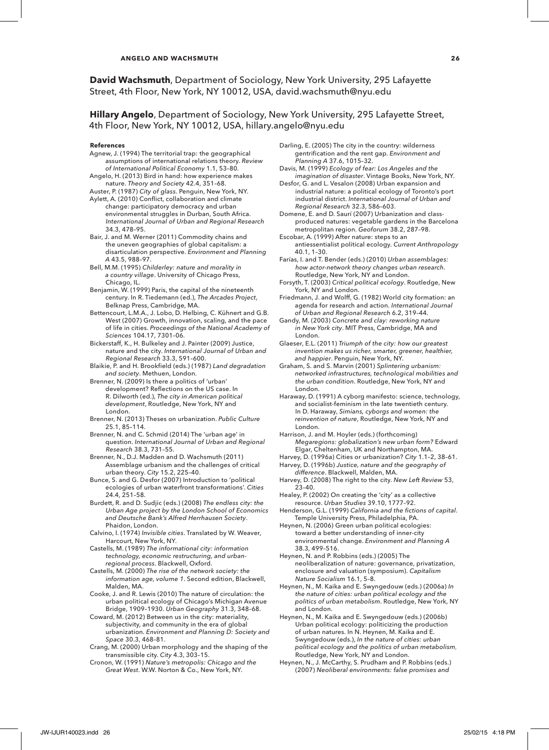**David Wachsmuth**, Department of Sociology, New York University, 295 Lafayette Street, 4th Floor, New York, NY 10012, USA, david.wachsmuth@nyu.edu

**Hillary Angelo**, Department of Sociology, New York University, 295 Lafayette Street, 4th Floor, New York, NY 10012, USA, hillary.angelo@nyu.edu

#### **References**

- Agnew, J. (1994) The territorial trap: the geographical assumptions of international relations theory. *Review of International Political Economy* 1.1, 53–80.
- Angelo, H. (2013) Bird in hand: how experience makes nature. *Theory and Society* 42.4, 351–68.
- Auster, P. (1987) *City of glass*. Penguin, New York, NY. Aylett, A. (2010) Conflict, collaboration and climate change: participatory democracy and urban environmental struggles in Durban, South Africa. *International Journal of Urban and Regional Research* 34.3, 478–95.
- Bair, J. and M. Werner (2011) Commodity chains and the uneven geographies of global capitalism: a disarticulation perspective. *Environment and Planning A* 43.5, 988–97.
- Bell, M.M. (1995) *Childerley: nature and morality in a country village*. University of Chicago Press, Chicago, IL.
- Benjamin, W. (1999) Paris, the capital of the nineteenth century. In R. Tiedemann (ed.), *The Arcades Project*, Belknap Press, Cambridge, MA.
- Bettencourt, L.M.A., J. Lobo, D. Helbing, C. Kühnert and G.B. West (2007) Growth, innovation, scaling, and the pace of life in cities. *Proceedings of the National Academy of Sciences* 104.17, 7301–06.

Bickerstaff, K., H. Bulkeley and J. Painter (2009) Justice, nature and the city. *International Journal of Urban and Regional Research* 33.3, 591–600.

- Blaikie, P. and H. Brookfield (eds.) (1987) *Land degradation and society*. Methuen, London.
- Brenner, N. (2009) Is there a politics of 'urban' development? Reflections on the US case. In R. Dilworth (ed.), *The city in American political development*, Routledge, New York, NY and London.
- Brenner, N. (2013) Theses on urbanization. *Public Culture* 25.1, 85–114.
- Brenner, N. and C. Schmid (2014) The 'urban age' in question. *International Journal of Urban and Regional Research* 38.3, 731–55.
- Brenner, N., D.J. Madden and D. Wachsmuth (2011) Assemblage urbanism and the challenges of critical urban theory. *City* 15.2, 225–40.
- Bunce, S. and G. Desfor (2007) Introduction to 'political ecologies of urban waterfront transformations'. *Cities* 24.4, 251–58.
- Burdett, R. and D. Sudjic (eds.) (2008) *The endless city: the Urban Age project by the London School of Economics and Deutsche Bank's Alfred Herrhausen Society*. Phaidon, London.
- Calvino, I. (1974) *Invisible cities*. Translated by W. Weaver, Harcourt, New York, NY.
- Castells, M. (1989) *The informational city: information technology, economic restructuring, and urbanregional process*. Blackwell, Oxford.
- Castells, M. (2000) *The rise of the network society: the information age, volume 1*. Second edition, Blackwell, Malden, MA.
- Cooke, J. and R. Lewis (2010) The nature of circulation: the urban political ecology of Chicago's Michigan Avenue Bridge, 1909–1930. *Urban Geography* 31.3, 348–68.
- Coward, M. (2012) Between us in the city: materiality, subjectivity, and community in the era of global urbanization. *Environment and Planning D: Society and Space* 30.3, 468–81.
- Crang, M. (2000) Urban morphology and the shaping of the transmissible city. *City* 4.3, 303–15.
- Cronon, W. (1991) *Nature's metropolis: Chicago and the Great West*. W.W. Norton & Co., New York, NY.
- Darling, E. (2005) The city in the country: wilderness gentrification and the rent gap. *Environment and Planning A* 37.6, 1015–32.
- Davis, M. (1999) *Ecology of fear: Los Angeles and the imagination of disaster*. Vintage Books, New York, NY.
- Desfor, G. and L. Vesalon (2008) Urban expansion and industrial nature: a political ecology of Toronto's port industrial district. *International Journal of Urban and Regional Research* 32.3, 586–603.
- Domene, E. and D. Saurí (2007) Urbanization and classproduced natures: vegetable gardens in the Barcelona metropolitan region. *Geoforum* 38.2, 287–98. Escobar, A. (1999) After nature: steps to an
- antiessentialist political ecology. *Current Anthropology* 40.1, 1–30.
- Farías, I. and T. Bender (eds.) (2010) *Urban assemblages: how actor-network theory changes urban research*. Routledge, New York, NY and London.
- Forsyth, T. (2003) *Critical political ecology*. Routledge, New York, NY and London.
- Friedmann, J. and Wolff, G. (1982) World city formation: an agenda for research and action. *International Journal of Urban and Regional Research* 6.2, 319–44.
- Gandy, M. (2003) *Concrete and clay: reworking nature in New York city*. MIT Press, Cambridge, MA and London.
- Glaeser, E.L. (2011) *Triumph of the city: how our greatest invention makes us richer, smarter, greener, healthier, and happier*. Penguin, New York, NY.
- Graham, S. and S. Marvin (2001) *Splintering urbanism: networked infrastructures, technological mobilities and the urban condition*. Routledge, New York, NY and London.
- Haraway, D. (1991) A cyborg manifesto: science, technology, and socialist-feminism in the late twentieth century. In D. Haraway, *Simians, cyborgs and women: the reinvention of nature*, Routledge, New York, NY and London.
- Harrison, J. and M. Hoyler (eds.) (forthcoming) *Megaregions: globalization's new urban form?* Edward Elgar, Cheltenham, UK and Northampton, MA.
- Harvey, D. (1996a) Cities or urbanization? *City* 1.1–2, 38–61. Harvey, D. (1996b) *Justice, nature and the geography of*
- *difference*. Blackwell, Malden, MA.
- Harvey, D. (2008) The right to the city. *New Left Review* 53, 23–40.
- Healey, P. (2002) On creating the 'city' as a collective resource. *Urban Studies* 39.10, 1777–92.
- Henderson, G.L. (1999) *California and the fictions of capital*. Temple University Press, Philadelphia, PA.
- Heynen, N. (2006) Green urban political ecologies: toward a better understanding of inner-city environmental change. *Environment and Planning A* 38.3, 499–516.
- Heynen, N. and P. Robbins (eds.) (2005) The neoliberalization of nature: governance, privatization, enclosure and valuation (symposium). *Capitalism Nature Socialism* 16.1, 5–8.
- Heynen, N., M. Kaika and E. Swyngedouw (eds.) (2006a) *In the nature of cities: urban political ecology and the politics of urban metabolism*. Routledge, New York, NY and London.
- Heynen, N., M. Kaika and E. Swyngedouw (eds.) (2006b) Urban political ecology: politicizing the production of urban natures. In N. Heynen, M. Kaika and E. Swyngedouw (eds.), *In the nature of cities: urban political ecology and the politics of urban metabolism,* Routledge, New York, NY and London.
- Heynen, N., J. McCarthy, S. Prudham and P. Robbins (eds.) (2007) *Neoliberal environments: false promises and*